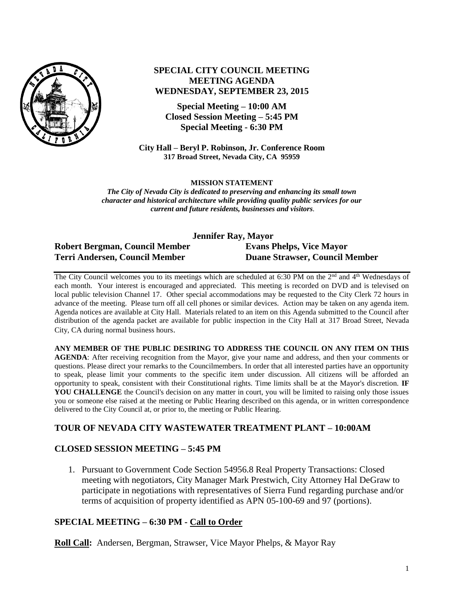

# **SPECIAL CITY COUNCIL MEETING MEETING AGENDA WEDNESDAY, SEPTEMBER 23, 2015**

**Special Meeting – 10:00 AM Closed Session Meeting – 5:45 PM Special Meeting - 6:30 PM**

**City Hall – Beryl P. Robinson, Jr. Conference Room 317 Broad Street, Nevada City, CA 95959**

**MISSION STATEMENT**

*The City of Nevada City is dedicated to preserving and enhancing its small town character and historical architecture while providing quality public services for our current and future residents, businesses and visitors.*

#### **Jennifer Ray, Mayor Robert Bergman, Council Member Evans Phelps, Vice Mayor Terri Andersen, Council Member Duane Strawser, Council Member**

The City Council welcomes you to its meetings which are scheduled at 6:30 PM on the 2<sup>nd</sup> and 4<sup>th</sup> Wednesdays of each month. Your interest is encouraged and appreciated. This meeting is recorded on DVD and is televised on local public television Channel 17. Other special accommodations may be requested to the City Clerk 72 hours in advance of the meeting. Please turn off all cell phones or similar devices. Action may be taken on any agenda item. Agenda notices are available at City Hall. Materials related to an item on this Agenda submitted to the Council after distribution of the agenda packet are available for public inspection in the City Hall at 317 Broad Street, Nevada City, CA during normal business hours.

**ANY MEMBER OF THE PUBLIC DESIRING TO ADDRESS THE COUNCIL ON ANY ITEM ON THIS AGENDA**: After receiving recognition from the Mayor, give your name and address, and then your comments or questions. Please direct your remarks to the Councilmembers. In order that all interested parties have an opportunity to speak, please limit your comments to the specific item under discussion. All citizens will be afforded an opportunity to speak, consistent with their Constitutional rights. Time limits shall be at the Mayor's discretion. **IF**  YOU CHALLENGE the Council's decision on any matter in court, you will be limited to raising only those issues you or someone else raised at the meeting or Public Hearing described on this agenda, or in written correspondence delivered to the City Council at, or prior to, the meeting or Public Hearing.

# **TOUR OF NEVADA CITY WASTEWATER TREATMENT PLANT – 10:00AM**

# **CLOSED SESSION MEETING – 5:45 PM**

1. Pursuant to Government Code Section 54956.8 Real Property Transactions: Closed meeting with negotiators, City Manager Mark Prestwich, City Attorney Hal DeGraw to participate in negotiations with representatives of Sierra Fund regarding purchase and/or terms of acquisition of property identified as APN 05-100-69 and 97 (portions).

# **SPECIAL MEETING – 6:30 PM - Call to Order**

**Roll Call:** Andersen, Bergman, Strawser, Vice Mayor Phelps, & Mayor Ray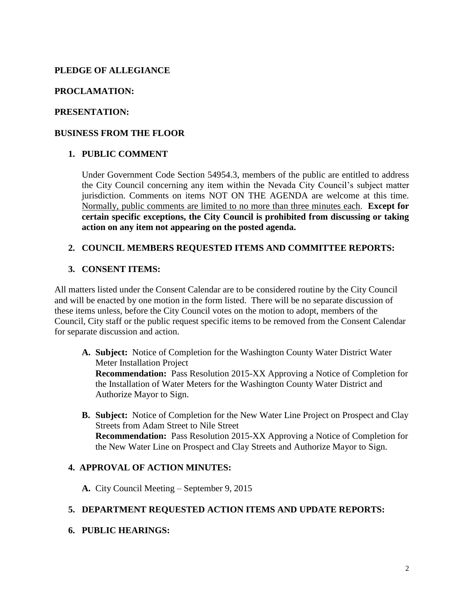## **PLEDGE OF ALLEGIANCE**

### **PROCLAMATION:**

### **PRESENTATION:**

### **BUSINESS FROM THE FLOOR**

#### **1. PUBLIC COMMENT**

Under Government Code Section 54954.3, members of the public are entitled to address the City Council concerning any item within the Nevada City Council's subject matter jurisdiction. Comments on items NOT ON THE AGENDA are welcome at this time. Normally, public comments are limited to no more than three minutes each. **Except for certain specific exceptions, the City Council is prohibited from discussing or taking action on any item not appearing on the posted agenda.**

#### **2. COUNCIL MEMBERS REQUESTED ITEMS AND COMMITTEE REPORTS:**

### **3. CONSENT ITEMS:**

All matters listed under the Consent Calendar are to be considered routine by the City Council and will be enacted by one motion in the form listed. There will be no separate discussion of these items unless, before the City Council votes on the motion to adopt, members of the Council, City staff or the public request specific items to be removed from the Consent Calendar for separate discussion and action.

- **A. Subject:** Notice of Completion for the Washington County Water District Water Meter Installation Project **Recommendation:** Pass Resolution 2015-XX Approving a Notice of Completion for the Installation of Water Meters for the Washington County Water District and Authorize Mayor to Sign.
- **B. Subject:** Notice of Completion for the New Water Line Project on Prospect and Clay Streets from Adam Street to Nile Street **Recommendation:** Pass Resolution 2015-XX Approving a Notice of Completion for the New Water Line on Prospect and Clay Streets and Authorize Mayor to Sign.

### **4. APPROVAL OF ACTION MINUTES:**

**A.** City Council Meeting – September 9, 2015

### **5. DEPARTMENT REQUESTED ACTION ITEMS AND UPDATE REPORTS:**

**6. PUBLIC HEARINGS:**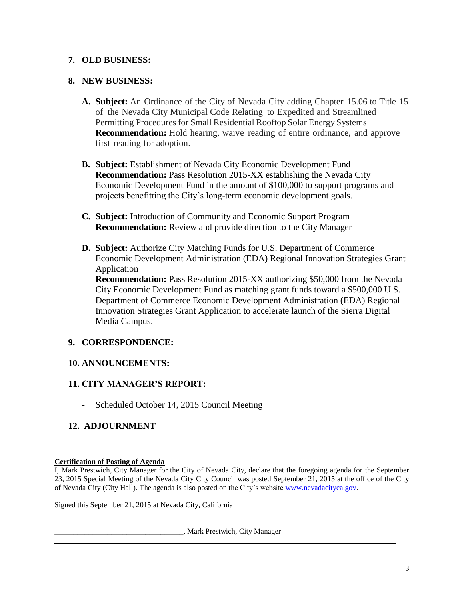# **7. OLD BUSINESS:**

### **8. NEW BUSINESS:**

- **A. Subject:** An Ordinance of the City of Nevada City adding Chapter 15.06 to Title 15 of the Nevada City Municipal Code Relating to Expedited and Streamlined Permitting Procedures for Small Residential Rooftop Solar Energy Systems **Recommendation:** Hold hearing, waive reading of entire ordinance, and approve first reading for adoption.
- **B. Subject:** Establishment of Nevada City Economic Development Fund **Recommendation:** Pass Resolution 2015-XX establishing the Nevada City Economic Development Fund in the amount of \$100,000 to support programs and projects benefitting the City's long-term economic development goals.
- **C. Subject:** Introduction of Community and Economic Support Program **Recommendation:** Review and provide direction to the City Manager
- **D. Subject:** Authorize City Matching Funds for U.S. Department of Commerce Economic Development Administration (EDA) Regional Innovation Strategies Grant Application **Recommendation:** Pass Resolution 2015-XX authorizing \$50,000 from the Nevada

City Economic Development Fund as matching grant funds toward a \$500,000 U.S. Department of Commerce Economic Development Administration (EDA) Regional Innovation Strategies Grant Application to accelerate launch of the Sierra Digital Media Campus.

## **9. CORRESPONDENCE:**

## **10. ANNOUNCEMENTS:**

## **11. CITY MANAGER'S REPORT:**

- Scheduled October 14, 2015 Council Meeting

## **12. ADJOURNMENT**

#### **Certification of Posting of Agenda**

I, Mark Prestwich, City Manager for the City of Nevada City, declare that the foregoing agenda for the September 23, 2015 Special Meeting of the Nevada City City Council was posted September 21, 2015 at the office of the City of Nevada City (City Hall). The agenda is also posted on the City's websit[e www.nevadacityca.gov.](http://www.nevadacityca.gov/)

Signed this September 21, 2015 at Nevada City, California

\_\_\_\_\_\_\_\_\_\_\_\_\_\_\_\_\_\_\_\_\_\_\_\_\_\_\_\_\_\_\_\_\_\_, Mark Prestwich, City Manager

**\_\_\_\_\_\_\_\_\_\_\_\_\_\_\_\_\_\_\_\_\_\_\_\_\_\_\_\_\_\_\_\_\_\_\_\_\_\_\_\_\_\_\_\_\_\_\_\_\_\_\_\_\_\_\_\_\_\_\_\_\_\_\_\_\_\_\_\_\_\_\_\_\_\_\_\_\_\_\_\_\_\_\_\_\_\_\_\_\_\_**